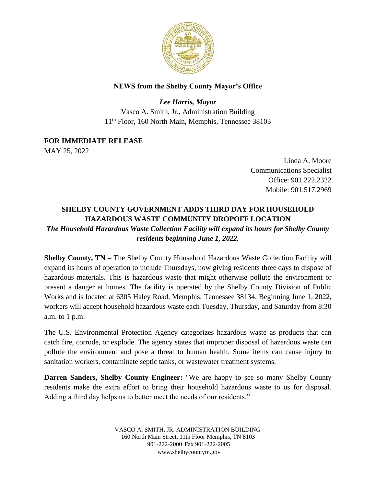

## **NEWS from the Shelby County Mayor's Office**

*Lee Harris, Mayor* Vasco A. Smith, Jr., Administration Building 11th Floor, 160 North Main, Memphis, Tennessee 38103

**FOR IMMEDIATE RELEASE**

MAY 25, 2022

Linda A. Moore Communications Specialist Office: 901.222.2322 Mobile: 901.517.2969

## **SHELBY COUNTY GOVERNMENT ADDS THIRD DAY FOR HOUSEHOLD HAZARDOUS WASTE COMMUNITY DROPOFF LOCATION** *The Household Hazardous Waste Collection Facility will expand its hours for Shelby County residents beginning June 1, 2022.*

**Shelby County, TN –** The Shelby County Household Hazardous Waste Collection Facility will expand its hours of operation to include Thursdays, now giving residents three days to dispose of hazardous materials. This is hazardous waste that might otherwise pollute the environment or present a danger at homes. The facility is operated by the Shelby County Division of Public Works and is located at 6305 Haley Road, Memphis, Tennessee 38134. Beginning June 1, 2022, workers will accept household hazardous waste each Tuesday, Thursday, and Saturday from 8:30 a.m. to 1 p.m.

The U.S. Environmental Protection Agency categorizes hazardous waste as products that can catch fire, corrode, or explode. The agency states that improper disposal of hazardous waste can pollute the environment and pose a threat to human health. Some items can cause injury to sanitation workers, contaminate septic tanks, or wastewater treatment systems.

**Darren Sanders, Shelby County Engineer:** "We are happy to see so many Shelby County residents make the extra effort to bring their household hazardous waste to us for disposal. Adding a third day helps us to better meet the needs of our residents."

> VASCO A. SMITH, JR. ADMINISTRATION BUILDING 160 North Main Street, 11th Floor Memphis, TN 8103 901-222-2000 Fax 901-222-2005 [www.shelbycountytn.gov](http://www.shelbycountytn.gov/)